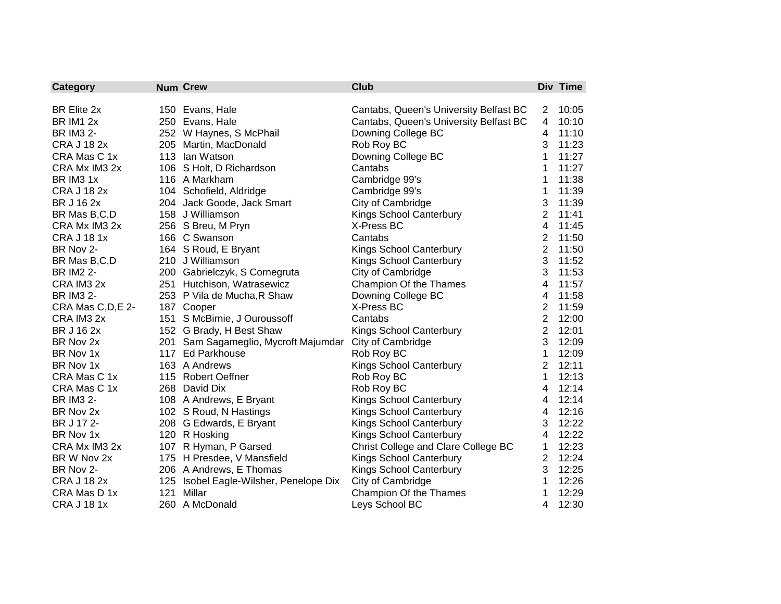| Category              |     | <b>Num Crew</b>                        | <b>Club</b>                            |                | Div Time |
|-----------------------|-----|----------------------------------------|----------------------------------------|----------------|----------|
|                       |     |                                        |                                        |                |          |
| BR Elite 2x           |     | 150 Evans, Hale                        | Cantabs, Queen's University Belfast BC | $\overline{2}$ | 10:05    |
| <b>BR IM1 2x</b>      |     | 250 Evans, Hale                        | Cantabs, Queen's University Belfast BC | 4              | 10:10    |
| <b>BR IM3 2-</b>      |     | 252 W Haynes, S McPhail                | Downing College BC                     | 4              | 11:10    |
| <b>CRA J 18 2x</b>    |     | 205 Martin, MacDonald                  | Rob Roy BC                             | 3              | 11:23    |
| CRA Mas C 1x          |     | 113 Ian Watson                         | Downing College BC                     | 1              | 11:27    |
| CRA Mx IM3 2x         |     | 106 S Holt, D Richardson               | Cantabs                                | 1              | 11:27    |
| BR IM <sub>3</sub> 1x |     | 116 A Markham                          | Cambridge 99's                         | 1              | 11:38    |
| <b>CRA J 18 2x</b>    |     | 104 Schofield, Aldridge                | Cambridge 99's                         | 1              | 11:39    |
| <b>BR J 16 2x</b>     |     | 204 Jack Goode, Jack Smart             | City of Cambridge                      | 3              | 11:39    |
| BR Mas B,C,D          |     | 158 J Williamson                       | Kings School Canterbury                | $\overline{2}$ | 11:41    |
| CRA Mx IM3 2x         |     | 256 S Breu, M Pryn                     | X-Press BC                             | $\overline{4}$ | 11:45    |
| <b>CRA J 18 1x</b>    |     | 166 C Swanson                          | Cantabs                                | $\overline{2}$ | 11:50    |
| BR Nov 2-             |     | 164 S Roud, E Bryant                   | Kings School Canterbury                | $\overline{2}$ | 11:50    |
| BR Mas B,C,D          |     | 210 J Williamson                       | <b>Kings School Canterbury</b>         | 3              | 11:52    |
| <b>BR IM2 2-</b>      |     | 200 Gabrielczyk, S Cornegruta          | City of Cambridge                      | 3              | 11:53    |
| CRA IM3 2x            |     | 251 Hutchison, Watrasewicz             | Champion Of the Thames                 | 4              | 11:57    |
| <b>BR IM3 2-</b>      |     | 253 P Vila de Mucha, R Shaw            | Downing College BC                     | 4              | 11:58    |
| CRA Mas C, D, E 2-    |     | 187 Cooper                             | X-Press BC                             | $\overline{2}$ | 11:59    |
| CRA IM3 2x            |     | 151 S McBirnie, J Ouroussoff           | Cantabs                                | $\overline{2}$ | 12:00    |
| BR J 16 2x            |     | 152 G Brady, H Best Shaw               | <b>Kings School Canterbury</b>         | $\overline{2}$ | 12:01    |
| BR Nov 2x             |     | 201 Sam Sagameglio, Mycroft Majumdar   | City of Cambridge                      | 3              | 12:09    |
| BR Nov 1x             |     | 117 Ed Parkhouse                       | Rob Roy BC                             | 1              | 12:09    |
| BR Nov 1x             |     | 163 A Andrews                          | Kings School Canterbury                | $\overline{2}$ | 12:11    |
| CRA Mas C 1x          |     | 115 Robert Oeffner                     | Rob Roy BC                             | 1              | 12:13    |
| CRA Mas C 1x          |     | 268 David Dix                          | Rob Roy BC                             | 4              | 12:14    |
| <b>BR IM3 2-</b>      |     | 108 A Andrews, E Bryant                | <b>Kings School Canterbury</b>         | 4              | 12:14    |
| BR Nov 2x             |     | 102 S Roud, N Hastings                 | Kings School Canterbury                | 4              | 12:16    |
| BR J 17 2-            |     | 208 G Edwards, E Bryant                | <b>Kings School Canterbury</b>         | 3              | 12:22    |
| BR Nov 1x             |     | 120 R Hosking                          | <b>Kings School Canterbury</b>         | 4              | 12:22    |
| CRA Mx IM3 2x         |     | 107 R Hyman, P Garsed                  | Christ College and Clare College BC    | 1              | 12:23    |
| BR W Nov 2x           |     | 175 H Presdee, V Mansfield             | <b>Kings School Canterbury</b>         | $\overline{2}$ | 12:24    |
| BR Nov 2-             |     | 206 A Andrews, E Thomas                | Kings School Canterbury                | 3              | 12:25    |
| <b>CRA J 18 2x</b>    |     | 125 Isobel Eagle-Wilsher, Penelope Dix | City of Cambridge                      | 1              | 12:26    |
| CRA Mas D 1x          | 121 | Millar                                 | Champion Of the Thames                 | 1              | 12:29    |
| <b>CRA J 18 1x</b>    |     | 260 A McDonald                         | Leys School BC                         | 4              | 12:30    |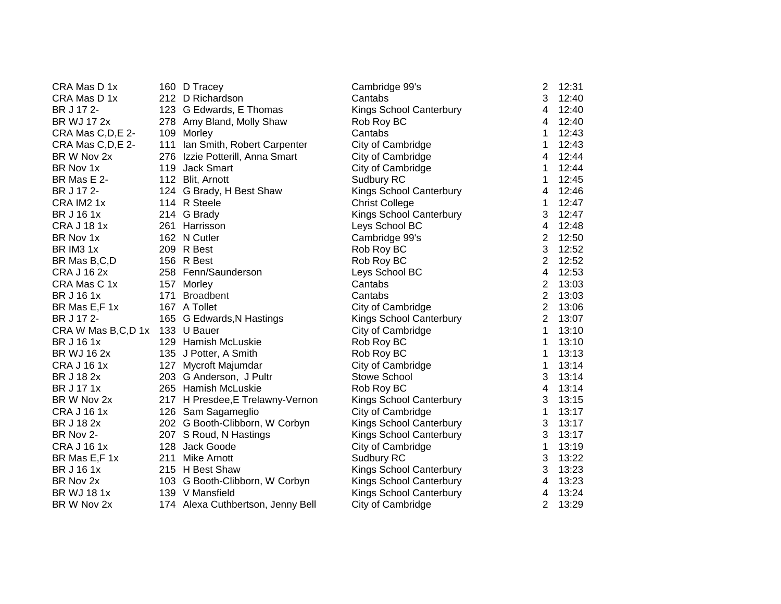| CRA Mas D 1x                     | 160 D Tracey                      | Cambridge 99's                 | 2              | 12:31 |
|----------------------------------|-----------------------------------|--------------------------------|----------------|-------|
| CRA Mas D 1x                     | 212 D Richardson                  | Cantabs                        | 3              | 12:40 |
| BR J 17 2-                       | 123 G Edwards, E Thomas           | Kings School Canterbury        | 4              | 12:40 |
| <b>BR WJ 17 2x</b>               | 278 Amy Bland, Molly Shaw         | Rob Roy BC                     | 4              | 12:40 |
| CRA Mas C, D, E 2-               | 109 Morley                        | Cantabs                        | 1              | 12:43 |
| CRA Mas C, D, E 2-               | 111 Ian Smith, Robert Carpenter   | City of Cambridge              | 1              | 12:43 |
| BR W Nov 2x                      | 276 Izzie Potterill, Anna Smart   | City of Cambridge              | 4              | 12:44 |
| BR Nov 1x                        | 119 Jack Smart                    | City of Cambridge              | 1              | 12:44 |
| BR Mas E 2-                      | 112 Blit, Arnott                  | Sudbury RC                     | $\mathbf 1$    | 12:45 |
| BR J 17 2-                       | 124 G Brady, H Best Shaw          | Kings School Canterbury        | 4              | 12:46 |
| CRA IM2 1x                       | 114 R Steele                      | <b>Christ College</b>          | 1              | 12:47 |
| BR J 16 1x                       | 214 G Brady                       | Kings School Canterbury        | 3              | 12:47 |
| <b>CRA J 18 1x</b>               | 261 Harrisson                     | Leys School BC                 | $\overline{4}$ | 12:48 |
| BR Nov 1x                        | 162 N Cutler                      | Cambridge 99's                 | $\overline{2}$ | 12:50 |
| BR IM3 1x                        | 209 R Best                        | Rob Roy BC                     | 3              | 12:52 |
| BR Mas B,C,D                     | 156 R Best                        | Rob Roy BC                     | $\overline{2}$ | 12:52 |
| <b>CRA J 16 2x</b>               | 258 Fenn/Saunderson               | Leys School BC                 | 4              | 12:53 |
| CRA Mas C 1x                     | 157 Morley                        | Cantabs                        | $\overline{2}$ | 13:03 |
| <b>BR J 16 1x</b>                | 171 Broadbent                     | Cantabs                        | $\overline{2}$ | 13:03 |
| BR Mas E,F 1x                    | 167 A Tollet                      | City of Cambridge              | $\overline{2}$ | 13:06 |
| BR J 17 2-                       | 165 G Edwards, N Hastings         | Kings School Canterbury        | $\overline{2}$ | 13:07 |
| CRA W Mas B, C, D 1x 133 U Bauer |                                   | City of Cambridge              | 1              | 13:10 |
| BR J 16 1x                       | 129 Hamish McLuskie               | Rob Roy BC                     | 1              | 13:10 |
| BR WJ 16 2x                      | 135 J Potter, A Smith             | Rob Roy BC                     | 1              | 13:13 |
| <b>CRA J 16 1x</b>               | 127 Mycroft Majumdar              | City of Cambridge              | $\mathbf 1$    | 13:14 |
| BR J 18 2x                       | 203 G Anderson, J Pultr           | Stowe School                   | 3              | 13:14 |
| BR J 17 1x                       | 265 Hamish McLuskie               | Rob Roy BC                     | 4              | 13:14 |
| BR W Nov 2x                      | 217 H Presdee, E Trelawny-Vernon  | <b>Kings School Canterbury</b> | 3              | 13:15 |
| <b>CRA J 16 1x</b>               | 126 Sam Sagameglio                | City of Cambridge              | 1              | 13:17 |
| BR J 18 2x                       | 202 G Booth-Clibborn, W Corbyn    | Kings School Canterbury        | 3              | 13:17 |
| BR Nov 2-                        | 207 S Roud, N Hastings            | Kings School Canterbury        | 3              | 13:17 |
| <b>CRA J 16 1x</b>               | 128 Jack Goode                    | City of Cambridge              | $\mathbf{1}$   | 13:19 |
| BR Mas E,F 1x                    | 211 Mike Arnott                   | Sudbury RC                     | 3              | 13:22 |
| BR J 16 1x                       | 215 H Best Shaw                   | Kings School Canterbury        | 3              | 13:23 |
| BR Nov 2x                        | 103 G Booth-Clibborn, W Corbyn    | Kings School Canterbury        | 4              | 13:23 |
| <b>BR WJ 18 1x</b>               | 139 V Mansfield                   | Kings School Canterbury        | 4              | 13:24 |
| BR W Nov 2x                      | 174 Alexa Cuthbertson, Jenny Bell | City of Cambridge              | $\overline{2}$ | 13:29 |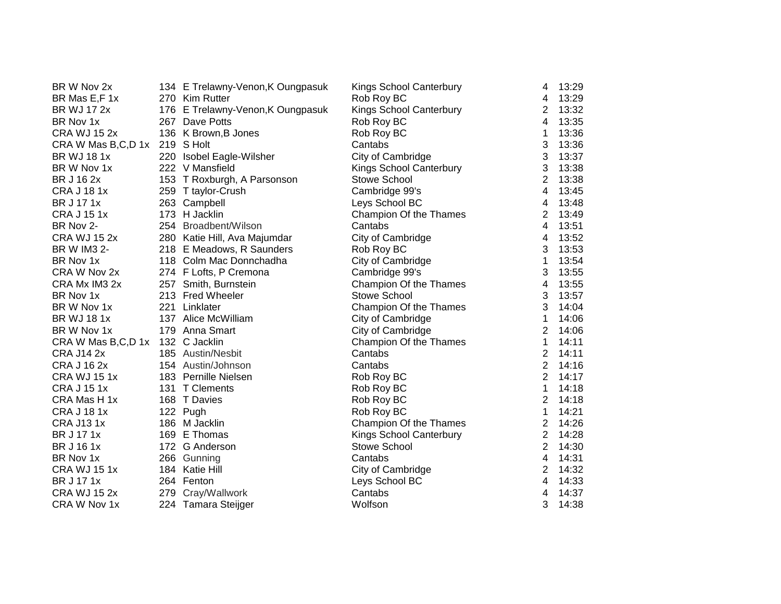| BR W Nov 2x                      | 134 E Trelawny-Venon, K Oungpasuk | Kings School Canterbury | 4                         | 13:29 |
|----------------------------------|-----------------------------------|-------------------------|---------------------------|-------|
| BR Mas E,F 1x                    | 270 Kim Rutter                    | Rob Roy BC              | 4                         | 13:29 |
| <b>BR WJ 17 2x</b>               | 176 E Trelawny-Venon, K Oungpasuk | Kings School Canterbury | $\overline{2}$            | 13:32 |
| BR Nov 1x                        | 267 Dave Potts                    | Rob Roy BC              | $\overline{4}$            | 13:35 |
| <b>CRA WJ 15 2x</b>              | 136 K Brown, B Jones              | Rob Roy BC              | 1                         | 13:36 |
| CRA W Mas B,C,D 1x 219 S Holt    |                                   | Cantabs                 | 3                         | 13:36 |
| <b>BR WJ 181x</b>                | 220 Isobel Eagle-Wilsher          | City of Cambridge       | 3                         | 13:37 |
| BR W Nov 1x                      | 222 V Mansfield                   | Kings School Canterbury | $\ensuremath{\mathsf{3}}$ | 13:38 |
| BR J 16 2x                       | 153 T Roxburgh, A Parsonson       | <b>Stowe School</b>     | $\overline{2}$            | 13:38 |
| <b>CRA J 18 1x</b>               | 259 T taylor-Crush                | Cambridge 99's          | 4                         | 13:45 |
| BR J 17 1x                       | 263 Campbell                      | Leys School BC          | 4                         | 13:48 |
| <b>CRA J 15 1x</b>               | 173 H Jacklin                     | Champion Of the Thames  | $\overline{2}$            | 13:49 |
| BR Nov 2-                        | 254 Broadbent/Wilson              | Cantabs                 | 4                         | 13:51 |
| <b>CRA WJ 15 2x</b>              | 280 Katie Hill, Ava Majumdar      | City of Cambridge       | 4                         | 13:52 |
| BR W IM3 2-                      | 218 E Meadows, R Saunders         | Rob Roy BC              | 3                         | 13:53 |
| BR Nov 1x                        | 118 Colm Mac Donnchadha           | City of Cambridge       | 1                         | 13:54 |
| CRA W Nov 2x                     | 274 F Lofts, P Cremona            | Cambridge 99's          | 3                         | 13:55 |
| CRA Mx IM3 2x                    | 257 Smith, Burnstein              | Champion Of the Thames  | 4                         | 13:55 |
| BR Nov 1x                        | 213 Fred Wheeler                  | Stowe School            | 3                         | 13:57 |
| BR W Nov 1x                      | 221 Linklater                     | Champion Of the Thames  | 3                         | 14:04 |
| <b>BR WJ 181x</b>                | 137 Alice McWilliam               | City of Cambridge       | 1                         | 14:06 |
| BR W Nov 1x                      | 179 Anna Smart                    | City of Cambridge       | $\overline{2}$            | 14:06 |
| CRA W Mas B,C,D 1x 132 C Jacklin |                                   | Champion Of the Thames  | 1                         | 14:11 |
| <b>CRA J14 2x</b>                | 185 Austin/Nesbit                 | Cantabs                 | $\overline{2}$            | 14:11 |
| <b>CRA J 16 2x</b>               | 154 Austin/Johnson                | Cantabs                 | $\overline{2}$            | 14:16 |
| <b>CRA WJ 15 1x</b>              | 183 Pernille Nielsen              | Rob Roy BC              | $\overline{2}$            | 14:17 |
| <b>CRA J 15 1x</b>               | 131 T Clements                    | Rob Roy BC              | 1                         | 14:18 |
| CRA Mas H 1x                     | 168 T Davies                      | Rob Roy BC              | $\overline{2}$            | 14:18 |
| <b>CRA J 18 1x</b>               | 122 Pugh                          | Rob Roy BC              | 1                         | 14:21 |
| <b>CRA J131x</b>                 | 186 M Jacklin                     | Champion Of the Thames  | $\overline{2}$            | 14:26 |
| <b>BR J 17 1x</b>                | 169 E Thomas                      | Kings School Canterbury | $\overline{2}$            | 14:28 |
| BR J 16 1x                       | 172 G Anderson                    | Stowe School            | $\overline{2}$            | 14:30 |
| BR Nov 1x                        | 266 Gunning                       | Cantabs                 | $\overline{\mathbf{4}}$   | 14:31 |
| <b>CRA WJ 15 1x</b>              | 184 Katie Hill                    | City of Cambridge       | $\overline{2}$            | 14:32 |
| <b>BR J 17 1x</b>                | 264 Fenton                        | Leys School BC          | 4                         | 14:33 |
| <b>CRA WJ 15 2x</b>              | 279 Cray/Wallwork                 | Cantabs                 | 4                         | 14:37 |
| CRA W Nov 1x                     | 224 Tamara Steijger               | Wolfson                 | 3                         | 14:38 |